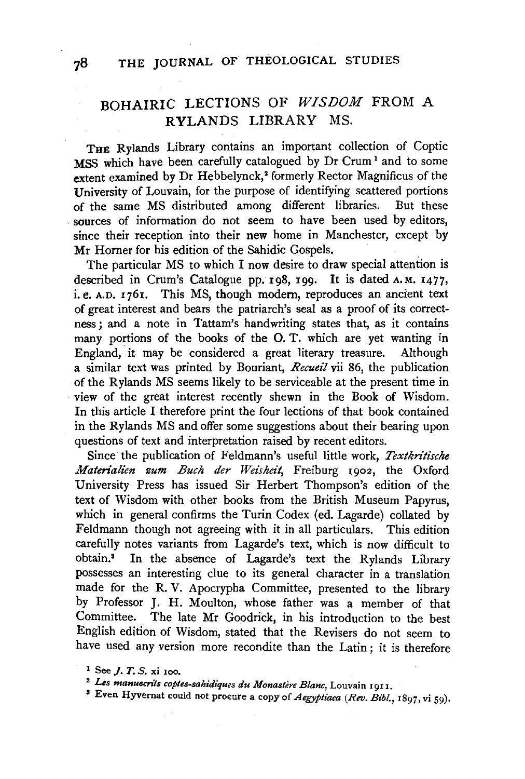# BOHAIRIC LECTIONS OF *WISDOM* FROM A RYLANDS LIBRARY MS.

THE Rylands Library contains an important collection of Coptic MSS which have been carefully catalogued by Dr Crum<sup>1</sup> and to some extent examined by Dr Hebbelynck,<sup>2</sup> formerly Rector Magnificus of the University of Louvain, for the purpose of identifying scattered portions of the same MS distributed among different libraries. But these sources of information do not seem to have been used by editors, since their reception into their new home in Manchester, except by Mr Horner for his edition of the Sahidic Gospels.

The particular MS to which I now desire to draw special attention is described in Crum's Catalogue pp. 198, 199. It is dated A.M. 1477, i. e. A.D. 1761. This MS, though modern, reproduces an ancient text of great interest and bears the patriarch's seal as a proof of its correctness; and a note in Tattam's handwriting states that, as it contains many portions of the books of the 0. T. which are yet wanting in England, it may be considered a great literary treasure. Although a similar text was printed by Bouriant, *Recueil* vii 86, the publication of the Rylands MS seems likely to be serviceable at the present time in view of the great interest recently shewn in the Book of Wisdom. In this article I therefore print the four lections of that book contained in the Rylands MS and offer some suggestions about their bearing upon questions of text and interpretation raised by recent editors.

Since the publication of Feldmann's useful little work, *Textkritische Materialien zum Buch der Weisheit,* Freiburg 1902, the Oxford University Press has issued Sir Herbert Thompson's edition of the text of Wisdom with other books from the British Museum Papyrus, which in general confirms the Turin Codex (ed. Lagarde) collated by Feldmann though not agreeing with it in all particulars. This edition carefully notes variants from Lagarde's text, which is now difficult to obtain.3 In the absence of Lagarde's text the Rylands Library possesses an interesting clue to its general character in a translation made for the R. V. Apocrypha Committee, presented to the library by Professor J. H. Moulton, whose father was a member of that Committee. The late Mr Goodrick, in his introduction to the best English edition of Wisdom, stated that the Revisers do not seem to have used any version more recondite than the Latin; it is therefore

<sup>&</sup>lt;sup>1</sup> See *J. T. S.* xi 100.

<sup>&</sup>lt;sup>2</sup> Les manuscrits coptes-sahidiques du Monastère Blanc, Louvain 1911.

<sup>3</sup> Even Hyvernat could not procure a copy of *Aegyptiaca lRev. Bihl.,* 1897, vi 59).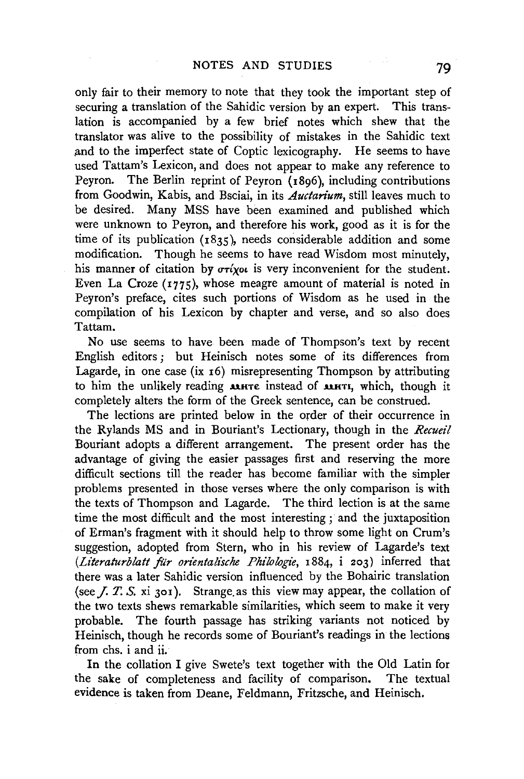only fair to their memory to note that they took the important step of securing a translation of the Sahidic version by an expert. This translation is accompanied by a few brief notes which shew that the translator was alive to the possibility of mistakes in the Sahidic text and to the imperfect state of Coptic lexicography. He seems to have used Tattam's Lexicon, and does not appear to make any reference to Peyron. The Berlin reprint of Peyron (1896), including contributions from Goodwin, Kabis, and Bsciai, in its *Auctarium,* still leaves much to be desired. Many MSS have been examined and published which were unknown to Peyron, and therefore his work, good as it is for the time of its publication  $(1835)$ , needs considerable addition and some modification. Though he seems to have read Wisdom most minutely, his manner of citation by  $\sigma r\chi_0\omega$  is very inconvenient for the student. Even La Croze (1775), whose meagre amount of material is noted in Peyron's preface, cites such portions of Wisdom as he used in the compilation of his Lexicon by chapter and verse, and so also does Tattam.

No use seems to have been made of Thompson's text by recent English editors ; but Heinisch notes some of its differences from Lagarde, in one case (ix  $16$ ) misrepresenting Thompson by attributing to him the unlikely reading **MHTE** instead of **MHTI**, which, though it completely alters the form of the Greek sentence, can be construed.

The lections are printed below in the order of their occurrence in the Rylands MS and in Bouriant's Lectionary, though in the *Recueil*  Bouriant adopts a different arrangement. The present order has the advantage of giving the easier passages first and reserving the more difficult sections till the reader has become familiar with the simpler problems presented in those verses where the only comparison is with the texts of Thompson and Lagarde. The third lection is at the same time the most difficult and the most interesting ; and the juxtaposition of Erman's fragment with it should help to throw some light on Crum's suggestion, adopted from Stem, who in his review of Lagarde's text *(Literaturblatt für orientalische Philologie*, 1884, i 203) inferred that there was a later Sahidic version influenced by the Bohairic translation (see  $I, T, S$ , xi 301). Strange as this view may appear, the collation of the two texts shews remarkable similarities, which seem to make it very probable. The fourth passage has striking variants not noticed by Heinisch, though he records some of Bouriant's readings in the lections from chs. i and ii.

In the collation I give Swete's text together with the Old Latin for the sake of completeness and facility of comparison. The textual evidence is taken from Deane, Feldmann, Fritzsche, and Heinisch.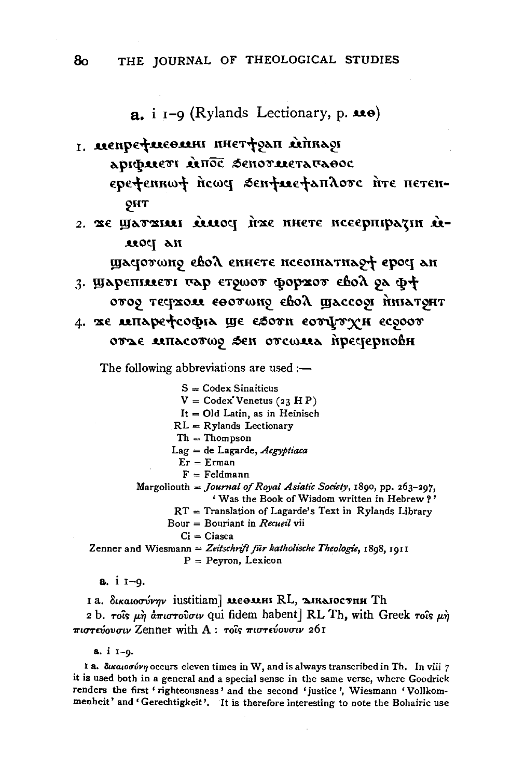$\mathbf{a}$ , i  $\mathbf{I}$ -9 (Rylands Lectionary, p.  $\mathbf{u}\mathbf{e}$ )

- L REMDETREORIHI HHETTSAIT LETTRASI ADIDMETI MITOC SENOTMETA TABOC epetennwt newe sentuetandore nre neren-**ОНТ**
- 2. Же Шатжил миоч нже инете иссерпиратии ина ром

щастотото свод епнете исеоппатнао+ ерост ан 3. Шарепшет тар стоиот форхот свол од ф+

- отор тестхом соотоно свод щассор пныхрит
- 4. же лепарефсофіа ще еботи сотртун есооот отъе мпасото зен отсома пречерновн

The following abbreviations are used :-

 $S = \text{Coder S}$ inaiticus  $V = Codex' Venetus (23 H P)$ It =  $Old$  Latin, as in Heinisch  $RL = R$  vlands Lectionary  $Th = Thompson$  $Lag = de Lagarde, Aegyptiaca$  $Er = E$ rman  $F =$  Feldmann Margoliouth = Journal of Royal Asiatic Society, 1890, pp. 263-297,

' Was the Book of Wisdom written in Hebrew?'

- $RT =$  Translation of Lagarde's Text in Rylands Library
- Bour = Bouriant in Recueil vii

 $Ci = Ci$ asca

Zenner and Wiesmann = Zeitschrift für katholische Theologie, 1898, 1911  $P = Peyron, Lexicon$ 

 $a. i I - q.$ 

1 a. δικαιοσύνην iustitiam] ΜΕΘΜΗΝ RL, ΣΙΚΑΙΟΣΤΗΗ Th 2 b. rois  $\mu$ *n*  $d\pi$ *ioroiouv* qui fidem habent] RL Th, with Greek rois  $\mu$ *n* πιστεύουσιν Zenner with A: τοίς πιστεύουσιν 261

 $a. i I - Q.$ 

I a.  $\delta$ iκαιοσύνη occurs eleven times in W, and is always transcribed in Th. In viii  $7$ it is used both in a general and a special sense in the same verse, where Goodrick renders the first 'righteousness' and the second 'justice', Wiesmann 'Vollkommenheit' and 'Gerechtigkeit'. It is therefore interesting to note the Bohairic use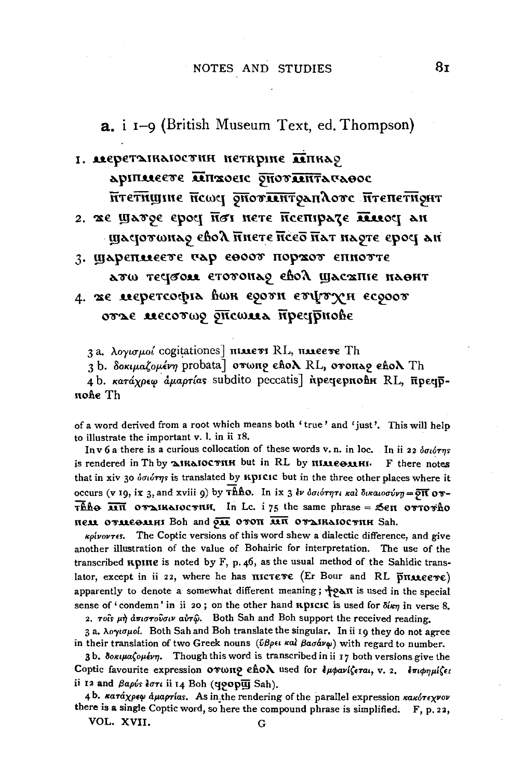### 1. АСЕРЕТАЛКАГОСТНИ НЕТКРИНЕ ДЕПКАЯ

аріплеєте пінжоєіс опотпитачаннос нтетищине неше опоталитраного итепетнонт

2. же шатое срост йот нете йсептраде шиост ан щасютонао свод пнете нсеб нат наоте ерос ан

3. ЩАРЕПЛЕЕТЕ ТАР ЕВООТ ПОРХОТ ЕПНОТТЕ атω течоом етотонао евол шасхпіє наонт

# 4. же меретсофіл вон єроти етфтун єсроот отъе месотор опсома пречрнове

3 a. λογισμοί cogitationes] **πιλίστ** RL, πλιετές Th

3 b. δοκιμαζομένη probata] στωπο εδολ RL, στοπερ εδολ Th

4b. κατάχρεω άμαρτίας subdito peccatis inpeqepnone RL, πρεqpnohe Th

of a word derived from a root which means both 'true' and 'just'. This will help to illustrate the important v. l. in ii 18.

In v 6 a there is a curious collocation of these words v. n. in loc. In ii 22  $\delta \sigma_1$ is rendered in Th by MIKAIOCTHH but in RL by HIMEOMHI. F there notes that in xiv 30 όσιότης is translated by *KpICIC* but in the three other places where it occurs (v 19, ix 3, and xviii 9) by Thho. In ix 3  $\ell \nu$  δσιότητι και δικαιοσύνη=  $\overline{p}$ π ov- $\overline{\text{the}}$   $\overline{\text{atm}}$  ovalhaloc with. In Lc. i 75 the same phrase = Sen ovrovho нем отмеслин Boh and эн отоп ин отдиклюстни Sah.

*kpivovres.* The Coptic versions of this word shew a dialectic difference, and give another illustration of the value of Bohairic for interpretation. The use of the transcribed *RpIRe* is noted by F, p. 46, as the usual method of the Sahidic translator, except in ii 22, where he has **IIICTETE** (Er Bour and RL  $\overline{p}$ **IIMEETE**) apparently to denote a somewhat different meaning;  $\frac{1}{3}$ PAII is used in the special sense of 'condemn' in ii 20; on the other hand **RDICIC** is used for  $\delta$ *lem* in verse 8.

2. Tois  $\mu \dot{\eta}$  anotorolouv air $\hat{\omega}$ . Both Sah and Boh support the received reading.

3 a. λογισμοί. Both Sah and Boh translate the singular. In ii 19 they do not agree in their translation of two Greek nouns ( $\tilde{v}\beta\rho\epsilon\iota\kappa a\iota\beta a\sigma\acute{a}\nu\varphi$ ) with regard to number.

3b. δοκιμαζομένη. Though this word is transcribed in ii 17 both versions give the Coptic favourite expression or wno ehoλ used for εμφανίζεται, v. 2. επιφημίζει ii 12 and Bapús tort ii 14 Boh (qoopu Sah).

4b. κατάχρεφ άμαρτίαs. As in the rendering of the parallel expression κακότεχνον there is a single Coptic word, so here the compound phrase is simplified. F, p. 22,

VOL. XVII.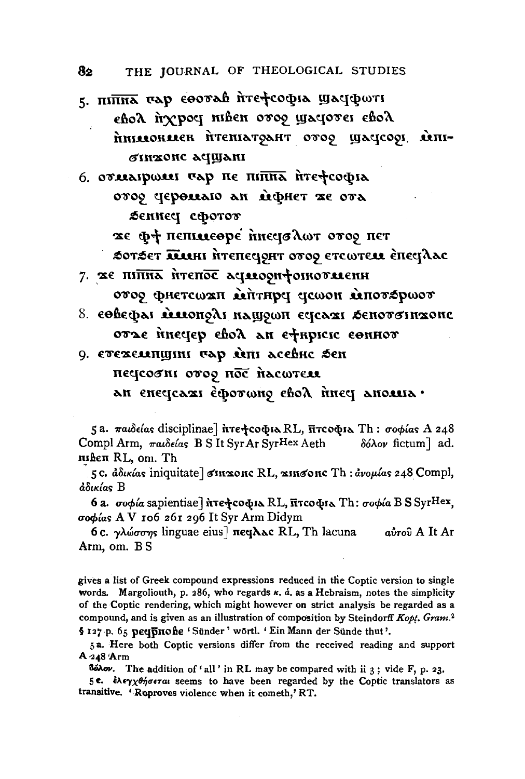5. піпна сар соотав итефсофіа шасіфоті εβολ ήχρος niben οτος ψαςιοτει εβολ hmaaokaaek htematoaht ovoo yactcool ainiбінхонс асщані

6. отлагралл тар не пипна итефсофіа отор черемлю ли мфнет же отл беннец сфотот

же ф+ пепилеоре пиечо лот отор пет

SOTSET ПИН ИТЕПЕСОНТ ОТОО ЕТСОТЕЛЯ ЕПЕСТАЛАС

- 7. же піпна птепос аставорифотноталенн στος φηετςωαπ λεήτηρα ακωση λεποτέρωστ
- 8. сөвефаг мионолі нашоюн естеляг зенототихонс отъе пиечер свод ан ефириси соннот
- 9. етехемпшин тар мп асевне бен пессоот отор пос пасштем an enecteaxi ecoromy ebon inect anouna.

5a. παιδείας disciplinae] πτε τοφιλ RL, πτοφιλ Th: σοφίας A 248 Compl Arm, παιδείας B S It Syr Ar Syr Hex Aeth δόλον fictum] ad. швен RL, om. Th

5c. άδικίας iniquitate] σικαυτις RL, αικσοπο Th: άνομίας 248 Compl, άδικίας B

6 a. σοφία sapientiae] ήτε το φιλ RL, πτο φιλ Th: σοφία B S SyrHex, σοφίας AV 106 261 296 It Syr Arm Didym

6c. γλώσσης linguae eius] πε λλες RL, Th lacuna aυτού A It Ar Arm, om. BS

gives a list of Greek compound expressions reduced in the Coptic version to single words. Margoliouth, p. 286, who regards  $\kappa$ . a. as a Hebraism, notes the simplicity of the Coptic rendering, which might however on strict analysis be regarded as a compound, and is given as an illustration of composition by Steindorff Kopt. Gram.<sup>2</sup> § 127 p. 65 peqpnohe 'Sünder' wörtl. 'Ein Mann der Sünde thut'.

5a. Here both Coptic versions differ from the received reading and support A 248 Arm

Báhov. The addition of 'all' in RL may be compared with ii 3; vide F, p. 23.

5ε. ελεγχθήσεται seems to have been regarded by the Coptic translators as transitive. 'Reproves violence when it cometh,' RT.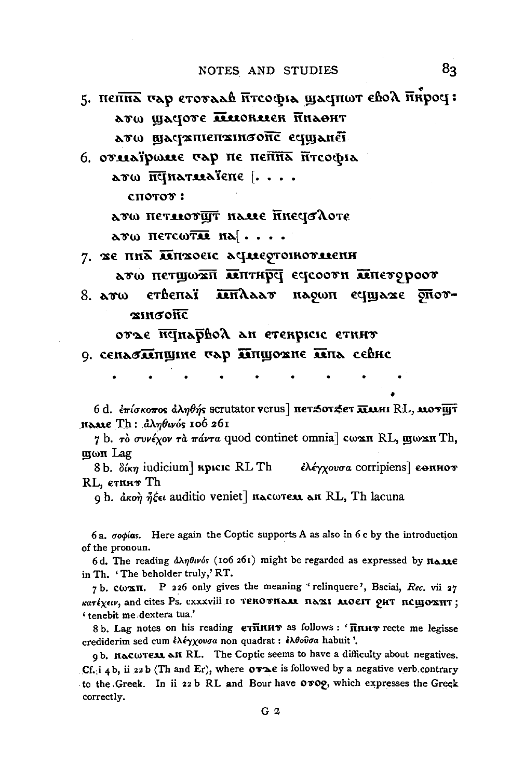### NOTES AND STUDIES

- 5. непна сар етотаав итсофіа щаснют евод ниросі: ато щастоте пиониен пилонт дто шастаписпатонс есцианет
- 6. отлебующе чар не нейна йтеофіа  $\lambda$ ro  $\overline{\text{mq}}$ natuatene  $\left[\ldots\right]$

спотот:

лто нетмотщт наме ниечалоте  $\lambda$ tw hetcwtie ha $|\ldots|$ 

- 7. ЖЕ ПИЛ ПЕПХОЕІС АСІЛЕОТОІКОТЛІЄНН дто нетщохи лептире есесоот лепетороот
- етвепъї iendaar нарон есциаже рног-8.  $\textbf{a}$ rw **x**ибонс

отъе петарвой ан етекриси етнит

9. сенасиншине тар иншожне ина севно

6 d. *επίσκοπος άληθής* scrutator verus] πετ*5*οτ*\$ε*τ **πλλ**ΗΙ RL, **λιοτ**ωτ πραιε Th: άληθινός 106 261

7 b. τὸ συνέχον τὰ πάντα quod continet omnia] cωxn RL, mωxn Th, <u>պωπ</u> Lag

8 b.  $\delta \iota_{\kappa \eta}$  iudicium]  $\kappa$ picic RL Th ελέγχουσα corripiens ε ε επιτοπ RL, етпит Th

9 b. akon n'ée auditio veniet] nacwrear an RL, Th lacuna

6 a. oopias. Here again the Coptic supports A as also in 6 c by the introduction of the pronoun.

6d. The reading  $\frac{\partial \lambda \eta \theta u}{\partial s}$  (106 261) might be regarded as expressed by  $\eta_{\Delta M} \epsilon$ in Th. 'The beholder truly,' RT.

7 b. Cωxπ. P 226 only gives the meaning 'relinquere', Bsciai, Rec. vii 27 κατέχειν, and cites Ps. cxxxviii 10 TEROTHAM BAXI MOEIT 9HT RCHIOXHT; ' tenebit me dextera tua.'

8b. Lag notes on his reading eTHINHT as follows: 'HINHT recte me legisse crediderim sed cum έλέγχουσα non quadrat : έλθούσα habuit'.

9b. Hacwress an RL. The Coptic seems to have a difficulty about negatives. Cf. i 4 b, ii 22 b (Th and Er), where  $\sigma \tau \ge \epsilon$  is followed by a negative verb contrary to the Greek. In ii 22 b RL and Bour have 0 TOQ, which expresses the Greek correctly.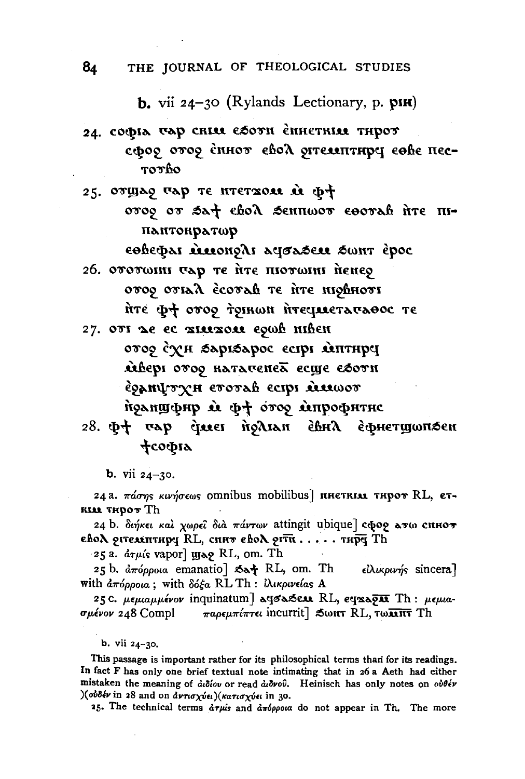**b.** vii  $24-30$  (Rylands Lectionary, p.  $\mathbf{p}(\mathbf{R})$ )

- 24. софіл тар снім єботи єниєтнім тирот сфор отор спнот евох отелятиру сове пес-TOTHO
- 25. OTHAS TAP TE HTETXOU  $\hat{\mathbf{u}}$   $\Phi$ <sup>+</sup> orog or sat chok sennwor esorah ire mпантонратωр εθέεφαι αιιοπολι αφσασειι σωητ έρος
- 26. ототшии чар те ите пютшии ненер ovoo ovial ecovah te fite niohnovi ите фф отор тоянон пото фф эти

27. OTI LE EC TILLTOLL EQUÉ HIEEN στος έχει βαριβαρος εςτρι απτειρη деверт отор натаченей есще сботи EQANYTYH ETOTAH ECIPI DERWOT ήρληψφη ά φ+ ότορ άπροφητης

# 28. Φτ σαρ άμει ήρλιαπ έβηλ εφμετιμωπες **фсофіа**

**b.** vii  $24 - 30$ .

24 a. πάσης κινήσεως omnibus mobilibus] IHETRIAL THPOT RL, ET-RIAR THOOT Th

24 b. διήκει και χωρεί δια πάντων attingit ubique] cφορ ατω cHHOT евод отемптира RL, спит евод оти ..... тира Th

25 a.  $\frac{\partial \tau}{\partial s}$  vapor]  $\mu$ as RL, om. Th

25 b. απόρροια emanatio] Sa+ RL, om. Th είλικρινής sincera] with  $\frac{\partial \pi}{\partial \rho}$  (with  $\frac{\partial \phi}{\partial \rho}$  RL Th:  $\frac{\partial \mu}{\partial \rho}$  in  $\frac{\partial \mu}{\partial \rho}$ 

25 C. μεμιαμμένον inquinatum] α το λέπος RL, εταλότα Th: μεμιασμένον 248 Compl  $\pi a \rho \epsilon \mu \pi i \pi \tau \epsilon \iota$  incurrit  $\beta$  Sωnt RL, τωπιτ Th

b. vii 24-30.

This passage is important rather for its philosophical terms than for its readings. In fact F has only one brief textual note intimating that in 26 a Aeth had either mistaken the meaning of αιδίου or read αιδνού. Heinisch has only notes on ούθέν ) (ούδέν in 28 and on άντισχύει) (κατισχύει in 30.

25. The technical terms  $d\tau\mu s$  and  $d\pi \phi \rho \rho \nu a$  do not appear in Th. The more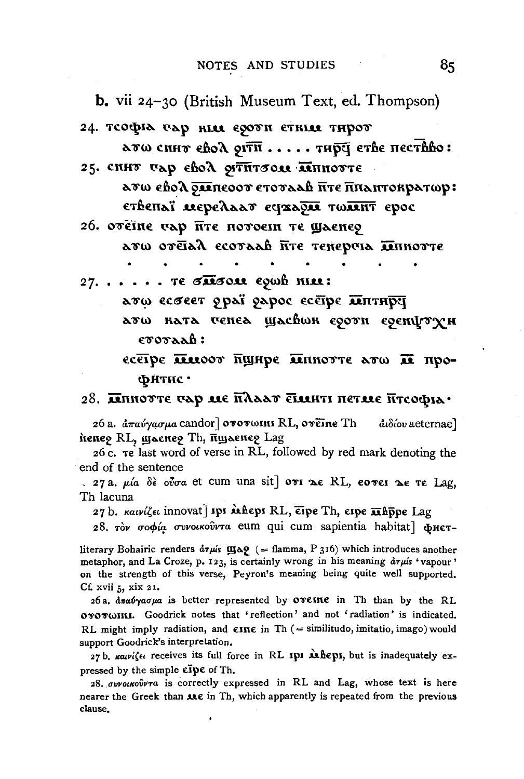**b.** vii 24-30 (British Museum Text, ed. Thompson)

- 24. теофіл пар нім єроти єтнім тирот
- $\lambda$ тω снит єво $\lambda$  91тн..... тир $\bar{q}$  етве пествво: 25. CHHT TAP cho A OITHTOOL MINIOTTE

ато евод описоот стоталь ите пиантократор: ственаї мередаат сухаум толянт срос

26. ОТЕТНЕ ГАР ПТЕ ПОТОЕІН ТЕ ШАЕНЕР

лто отетал есотаав йте тенерию пинотте

 $27. \ldots$ . TE TRESOUL EQUA NILL:

дто есовет ораї дарос есётре питнрет лто клта ченел шасвок е90тн е9енфтүн

etotaaĥ:

есетре писоот пщире питотте от по про-Фитнс •

28. Липотте чар ме плаат Еминті петме Птсофіа $\cdot$ 

26 a.  $\dot{a} \pi$ αύγασμα candor] οτοτωιπι RL, οτειπε Th αιδίου aeternae] ћепер RL, шљепер Th, пщљепер Lag

26 c. Te last word of verse in RL, followed by red mark denoting the end of the sentence

 $\sim$  27 a. μία δε ούσα et cum una sit] ovi λε RL, εονει λε τε Lag, Th lacuna

27 b. καινίζει innovat] ipi **α**ιθερi RL, εipe Th, εipe **π**άσρε Lag

28. τον σοφία συνοικούντα eum qui cum sapientia habitat φHET-

literary Bohairic renders  $d\tau \mu s$   $\mu s$  (= flamma, P 316) which introduces another metaphor, and La Croze, p. 123, is certainly wrong in his meaning  $d\tau \mu i s$  'vapour' on the strength of this verse, Peyron's meaning being quite well supported. Cf. xvii 5, xix 21.

26a. απαύγασμα is better represented by oveine in Th than by the RL ororwini. Goodrick notes that 'reflection' and not 'radiation' is indicated. RL might imply radiation, and  $\epsilon$ III $\epsilon$  in Th (= similitudo, imitatio, imago) would support Goodrick's interpretation.

27 b.  $\kappa a\nu i\zeta\epsilon\iota$  receives its full force in RL IPI Mbeps, but is inadequately expressed by the simple  $\mathbf{c}\bar{\mathbf{n}}\mathbf{p}\mathbf{c}$  of Th.

28. ovvoikouvot is correctly expressed in RL and Lag, whose text is here nearer the Greek than use in Th, which apparently is repeated from the previous clause.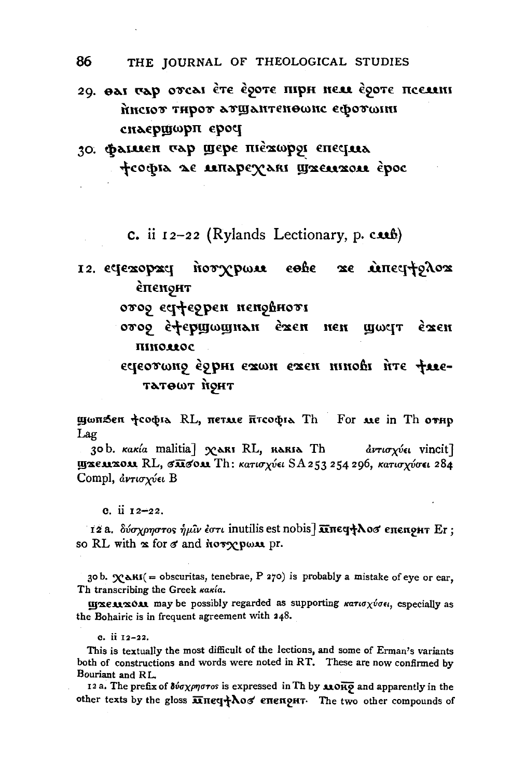- 29. OAI TAD OFCAI ÈTE ÈSOTE HIPH NEU ÈSOTE HCELLINI писют тирот атщантеномие ефотонн снаершфрп ероч
- 30. Фашен тар шере піехорої епесіна фсофіл де ліпаретакі шжелігом ерос

c. ii  $12-22$  (Rylands Lectionary, p. c.ub)

norypwu eshe xe uneqtolox 12. счехорхч èπenoht

отор естферрен неповноть

οτος έ+ερшωшнан έ∝επ пен прост exen пиюмос

εφεοτωπο έρρηι εχωη εχεη ηιπούι ήτε φιεтатошт нонт

щωпSen †софіа RL, петме птсофіа Th For *Me* in Th отнр Lag

30b. Kakía malitia] YARI RL, RARIA Th αντισχύει vincit]  $\frac{1}{2}$  (1328 1308) Π. κατισχύει SA 253 254 296, κατισχύσει 284 Compl, αντισχύει Β

e. ii 12-22.

12 a. δύσχρηστος ήμιν έστι inutilis est nobis] **Κητες +λοσ** επεπομτ Er: so RL with  $x$  for  $\sigma$  and hory poss pr.

30 b.  $\mathbf{\chi}_{\mathbf{A}}$   $\mathbf{K}$  = obscuritas, tenebrae, P 270) is probably a mistake of eye or ear, Th transcribing the Greek κακία.

**IIIXEARXOAR** may be possibly regarded as supporting  $\kappa a \tau a \tau \gamma \nu \sigma \epsilon \iota$ , especially as the Bohairic is in frequent agreement with 248.

This is textually the most difficult of the lections, and some of Erman's variants both of constructions and words were noted in RT. These are now confirmed by Bouriant and RL.

12 a. The prefix of  $\delta$ νσχρηστοs is expressed in Th by 330R9 and apparently in the other texts by the gloss  $\overline{\mathbf{u}}$  neq+  $\lambda$  of energht. The two other compounds of

c. ii 12-22.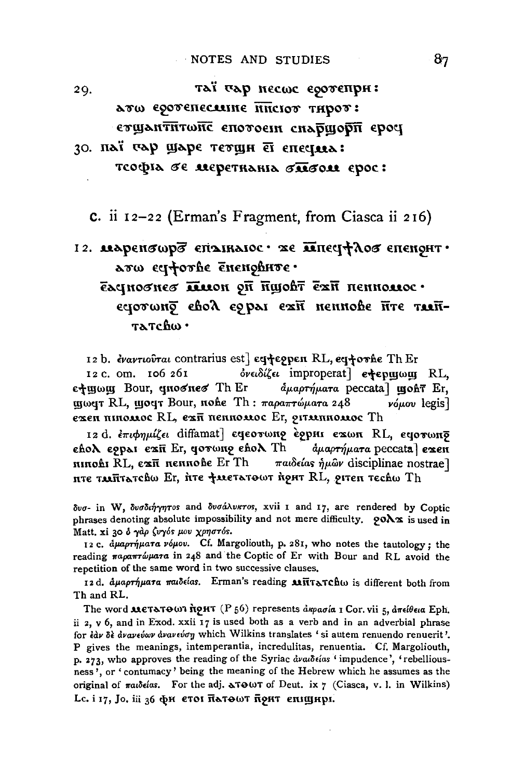таї чар несше едотепри: 29. ато соотепесляне инстот тирот: стщантитоне спотосии снаршори сроч

# 30. паї тар шаре тетщи єї епециа: тсофіл бе меретнаніл бибом ерос:

c. ii 12-22 (Erman's Fragment, from Ciasca ii 216)

# 12. изренвиро сполналос - же инецеров епенонт . arw eciforhe enenohnte. голлогинэн Пат Туроцый По полябон рабо ечотону свод сорал ехи неннове йте таяй-

татсвω ·

12 b. εναντιούται contrarius est] eq+eppen RL, eq+orne Th Er

12 c. om. 106 261 ονειδίζει improperat] e+εριμωμ RL, ε+μωμ Bour, qnoσneσ Th Er  $d\mu a \rho \tau \eta \mu a \tau a$  peccata) **utoht** Er. щωчт RL, щочт Bour, пове Th: παραπτώματα 248 νόμου legis]  $\epsilon$ жен пиюмос RL,  $\epsilon$ ж $\bar{\pi}$  пенномос Er, оттанномос Th

12 d. επιφημίζει diffamat] εφεοτωπρ ερρμι εχωπ RL, εφοτωπσ  $\epsilon$ ho $\lambda$   $\epsilon$ 9par  $\epsilon$ 2 $\bar{\mathbf{u}}$  Er, gorwng  $\epsilon$ ho $\lambda$  Th  $\alpha$ и артумата рессата] ежен nınohı RL, єжп неннове Er Th παιδείας ήμῶν disciplinae nostrae] ите тмñтљтсвω Er, ѝте †метљтѳωт ѝонт RL, онтеп тесћω Th

δυσ- in W, δυσδιήγητοs and δυσάλυκτοs, xvii 1 and 17, are rendered by Coptic phrases denoting absolute impossibility and not mere difficulty.  $\varphi$ O $\Delta x$  is used in Matt. xi 30 δ γάρ ζυγός μου χρηστός.

12 c. apapripara vopov. Cf. Margoliouth, p. 281, who notes the tautology; the reading παραπτώματα in 248 and the Coptic of Er with Bour and RL avoid the repetition of the same word in two successive clauses.

12d. αμαρτήματα παιδείαs. Erman's reading **Μ**ΠτατChω is different both from Th and RL.

The word **MeTATOWI** noHT (P 56) represents  $\frac{\partial x}{\partial a}$  of Lor. vii 5,  $\frac{\partial \pi \epsilon}{\partial a}$  Eph. ii 2,  $v$  6, and in Exod. xxii 17 is used both as a verb and in an adverbial phrase for έαν δε ανανεύων ανανεύση which Wilkins translates ' si autem renuendo renuerit'. P gives the meanings, intemperantia, incredulitas, renuentia. Cf. Margoliouth, p. 273, who approves the reading of the Syriac availeias 'impudence', 'rebelliousness', or 'contumacy' being the meaning of the Hebrew which he assumes as the original of  $\pi a_i \delta \epsilon i a s$ . For the adj.  $\alpha \tau \Theta \omega \tau$  of Deut. ix  $\gamma$  (Ciasca, v. I. in Wilkins) Lc. і 17, Jo. і і 36 фи етоі патошт понт еніширі.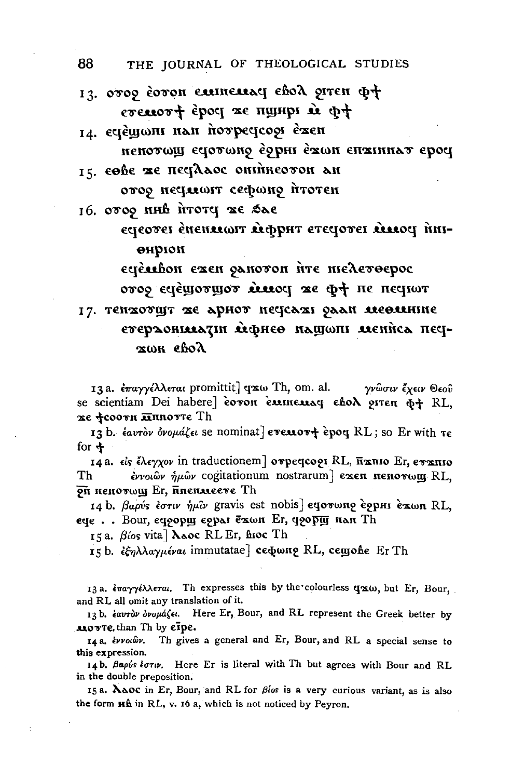13. 0009 COTON EMINEMACY EBOX OITEN Q+ evenort epoc xe nyupi à pt

- 14. ecjewoni nan novpecicooi exen пенотош есютоно ѐорні ѐжон епжинат ерос
- 15. cohe xe nectlaoc oninkeovon an

отоо несплоит сефоно итотен

16. 0009 NHB NTOTY 26 SAE

eqeover enentean temphr everyover theory finiөнргон

ecjèsshon exen ganovon irre melevoepoc отор естещотщот миссу же ф+ пе песнот

## 17. тенхотщт же арнот нескахи улан месяцинне етераонияли мернее нашеши мениса песжωн евоλ

13 a. επαγγέλλεται promittit] qxw Th, om. al. γνώσιν έχειν Θεού se scientiam Dei habere] covon cumenay cho porten of RL. xe фсооти <del>л</del>ипотте Th

13 b. εαυτόν όνομάζει se nominat] evenov+ ερος RL; so Er with τε for  $\pm$ 

14 a. είς έλεγχον in traductionem] στρειτορι RL, παπιο Ετ, εταπιο εννοιών ήμών cogitationum nostrarum] exen nenorwy RL, Th on nenorwy Er, unenweere Th

14 b. βαρύς έστιν ήμιν gravis est nobis eqorwno eqpHI exwn RL, ege.. Bour, сдоорш сорал ёхон Er, доорш нан Th

15a. Bíos vita] Naoc RL Er, hioc Th

15 b. εξηλλαγμέναι immutatae] cεφωπρ RL, cemone Er Th

13 a. επαγγέλλεται. Th expresses this by the colourless qxw, but Er, Bour, and RL all omit any translation of it.

13 b. έαυτον όνομάζει. Here Er, Bour, and RL represent the Greek better by MOTTE, than Th by eipe.

Th gives a general and Er, Bour, and RL a special sense to 14 a. εννοιών. this expression.

14b. Bapus toriv. Here Er is literal with Th but agrees with Bour and RL in the double preposition.

15a. NAOC in Er, Bour, and RL for  $\beta$ los is a very curious variant, as is also the form  $H\hat{h}$  in RL, v. 16 a, which is not noticed by Peyron.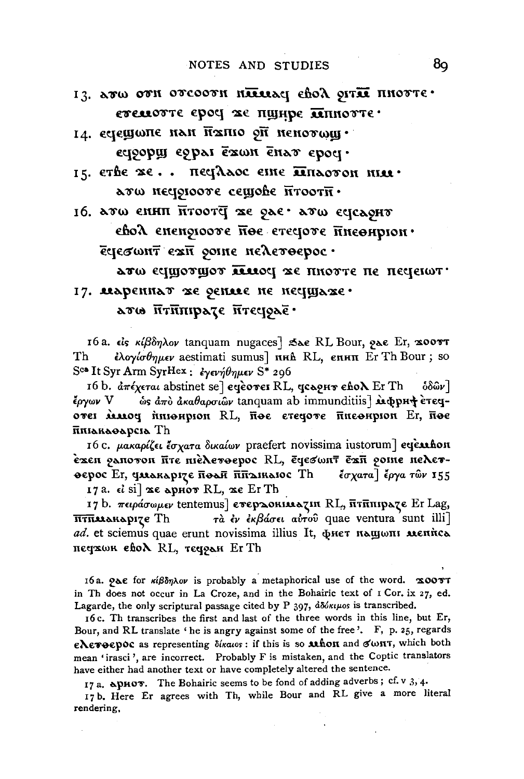- 13. ATW OTH OTCOOTH HARRING CHOA OITAR HHOTTE. степотте ероч же пщире плиотте.
- 14. естещопе нан папіо 9 ненотощ· ectooping eopai exam enav epoci.
- 15. erbe xe.. neglaoc eine Enaoron nue.  $\lambda$ rw nectoroore cemoße  $\overline{n}$ roor $\overline{n}$ .

16. аты енип птооте же рас от естелонт евод епеноюже ное стечоте инеонрюн. εγεσωητ εxη ροιης πελετοερος·

годрэп эн этопп эх ромат төдтөрдэ олта

## 17. мареннат же дение не несцуаже. ато итипрате итецрае.

16 a. είς κίβδηλον tanquam nugaces] Sae RL Bour, γαε Er, x00 στ ελογίσθημεν aestimati sumus] nHh RL, επΗΠ Er Th Bour; so Th S<sup>ca</sup> It Syr Arm SyrHex: εγενήθημεν S\* 296

16 b. απέχεται abstinet se] eqeover RL, qcoonv εδολ Er Th 'όδῶν Ι έργων V ώς άπο ακαθαρσιών tanquam ab immunditiis] αφρη+ ετεςотен ммоч иненрион RL, пое стечоте писонрион Er, пое ппіакаоарсіа Th

16 c. μακαρίζει έσχατα δικαίων praefert novissima iustorum] eqeubon εχεη ραποτοπ πτε πιέλετοερος RL, εφεσωπτ εχπ ροιπε πελετ- $\phi$ ерос Er, quarapize π $\phi$ ан ππαικαιος Th έσχατα] έργα των 155

17а.  $\epsilon$  isi] же арнот RL, же Er Th

17 b. πειράσωμεν tentemus] ετερασκικατι RL, πτηπηραζε Er Lag, τα έν εκβάσει αυτού quae ventura sunt illi <del>птпм</del>анарізе Th ad. et sciemus quae erunt novissima illius It, фнет нашопи мениса печхок eboX RL, течран ErTh

16a. γλε for κίβδηλον is probably a metaphorical use of the word. x00TT in Th does not occur in La Croze, and in the Bohairic text of I Cor. ix 27, ed. Lagarde, the only scriptural passage cited by  $P$  397,  $d\delta d\kappa\mu\omega s$  is transcribed.

16c. Th transcribes the first and last of the three words in this line, but Er, Bour, and RL translate ' he is angry against some of the free'. F, p. 25, regards ελετοερός as representing δίκαιος: if this is so athon and σωπτ, which both mean 'irasci', are incorrect. Probably F is mistaken, and the Coptic translators have either had another text or have completely altered the sentence.

17 a. apHOT. The Bohairic seems to be fond of adding adverbs; cf. v 3, 4.

17b. Here Er agrees with Th, while Bour and RL give a more literal rendering,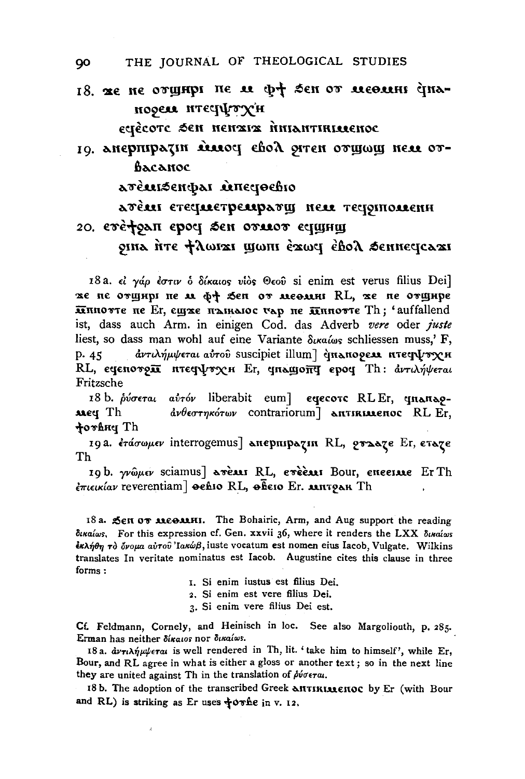18. Te ne ormutpi ne it of sen or recorni inaпореле итестрътун

eyècote Sen nenxix muantificaenoc

10. анерпіратін массі свой этен отщощ нем отbacanoc

атемизенфат минечество

лтем етесплетремрлош нем тесритоменн 20. ere+9an epoy sen oruor equinu

oina fire flouxi moni éxou éhol senneucaxi

18a.  $\epsilon i$  γάρ έστιν δ δίκαιος νίὸς Θεοῦ si enim est verus filius Dei] же не отщирі не м ф+ Sen от месями RL, же не отщире IIMNOTTE HE Er, EUITE HAIRAIOC VAD HE IIMNOTTE Th; 'auffallend ist, dass auch Arm. in einigen Cod. das Adverb vere oder juste liest, so dass man wohl auf eine Variante  $\delta u \alpha \omega s$  schliessen muss.' F, άντιλήμψεται αύτου suscipiet illum] cinanogear nτειγυνχΗ  $p.45$ RL, εφεποτρία πτεφψτχΗ Er, φπειροπό εροφ Th: αντιλήψεται Fritzsche

18 b. ρύσεται αύτόν liberabit eum] εφετοτε RLEr, φπριπρο- $\frac{d\psi}{d\phi}$ εστηκότων contrariorum] **ANTIRIALEROC** RL Er, **Meg** Th torhнy Th

19a. ετάσωμεν interrogemus] απερπιραζιπ RL, εταχε Er, εταχε Th

19b. γνώμεν sciamus] areas RL, ereeast Bour, eneerase Er Th επιεικίαν reverentiam] sehio RL, secio Er. MITPAR Th

18 a. Sen OT MEOMHI. The Bohairic, Arm, and Aug support the reading δικαίως, For this expression cf. Gen. xxvii 36, where it renders the LXX δικαίως έκλήθη το όνομα αύτου Ιακώβ, iuste vocatum est nomen eius Iacob, Vulgate. Wilkins translates In veritate nominatus est Iacob. Augustine cites this clause in three forms:

- 1. Si enim iustus est filius Dei.
- 2. Si enim est vere filius Dei.
- 3. Si enim vere filius Dei est.

Cf. Feldmann, Cornely, and Heinisch in loc. See also Margoliouth, p. 285. Erman has neither δίκαιος nor δικαίως.

18 a.  $\frac{dy}{dx}$  $\frac{dy}{dx}$  $\frac{dy}{dx}$  is well rendered in Th, lit. 'take him to himself', while Er, Bour, and RL agree in what is either a gloss or another text; so in the next line they are united against Th in the translation of  $\hat{\rho}\hat{\nu}\sigma\epsilon\tau a$ .

18 b. The adoption of the transcribed Greek ANTIKIALENOC by Er (with Bour and RL) is striking as Er uses  $\frac{1}{2}$ ovhe in v. 12.

 $\bar{\delta}$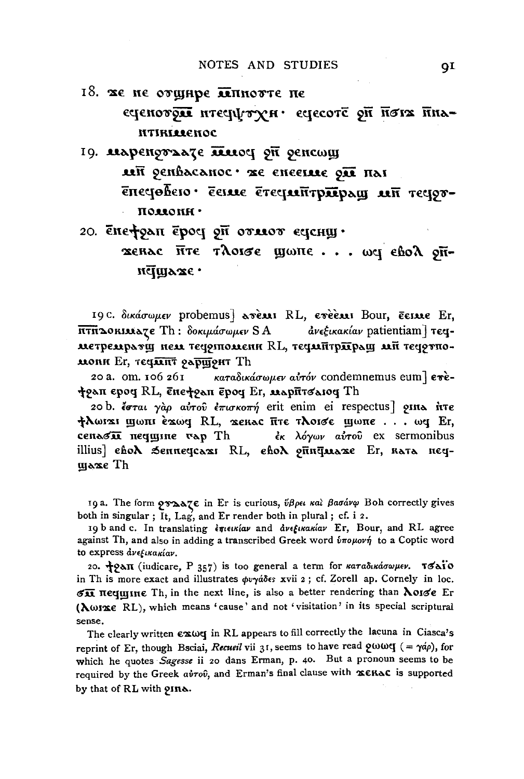- 18. же не отщире ллинотте не - сченотры итесрутун сцесоте он начилоря птиниенос
- 19. маренотале плюся он оснежу MH SEUPSCANOC. AE ENEEINE ON HAI епестовето с делле етестатущого ладорова полюни.

20.  $\bar{\epsilon}$ нефоди  $\bar{\epsilon}$ роч от отлеот еченш $\cdot$ 

xenac five τλοισε ψωπε... ως εδολ οπпстураже.

19 c. δικάσωμεν probemus | ανέλλι RL, ενέδλει Bour, έειλε Er, **ΠΤΗΔΟΚΙΜΑΖΕ** Th: δοκιμάσωμεν SA ανεξικακίαν patientiam] τεςметремратщ пем теоритомени RL, теомитриращ ми теортномони Er, течинт раршонт Th

20 a. om. 106 261  $\kappa$ αταδικάσωμεν αύτόν condemnemus eum] επέfoan epog RL, επεfoan epog Er, Μαρήτσαιος Th

20 b. έσται γαρ αύτου έπισκοπή erit enim ei respectus] oins hτε tλωιαι ψωπι έαως RL, αεκας πτε τλοισε ψωπε... ως Er, cenasii nequune vap Th εκ λόγων αύτου ex sermonibus illius] ebo**)** Senneycaxı RL, ebo**) onuğu**axe Er, kata negщахе Th

19 a. The form *graate* in Er is curious, ύβρει και βασάνφ Boh correctly gives both in singular; It, Lag, and Er render both in plural; cf. i 2.

19 b and c. In translating επιεικίαν and ανεξικακίαν Er, Bour, and RL agree against Th, and also in adding a transcribed Greek word  $\hat{v} \pi o \mu o \nu \hat{\eta}$  to a Coptic word to express dvetikakíav.

20. *J2an* (iudicare, P 357) is too general a term for καταδικάσωμεν. τσαΪο in Th is more exact and illustrates  $\phi v \gamma \acute{a} \delta \epsilon s$  xvii 2; cf. Zorell ap. Cornely in loc. SII nequine Th, in the next line, is also a better rendering than Noise Er (Norxe RL), which means 'cause' and not 'visitation' in its special scriptural sense.

The clearly written  $\epsilon \infty$  we in RL appears to fill correctly the lacuna in Ciasca's reprint of Er, though Bsciai, Recueil vii 31, seems to have read  $9000q$  (=  $74\rho$ ), for which he quotes Sagesse ii 20 dans Erman, p. 40. But a pronoun seems to be required by the Greek avrov, and Erman's final clause with XERAC is supported by that of RL with 9Ine.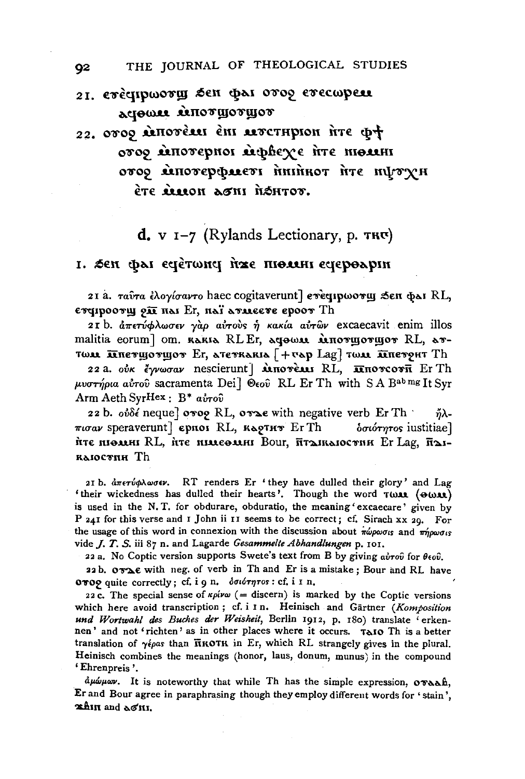- 21. eveqipwory sen pai oroo erecupen **ACIOWAR RAITOT MOTHLOT**
- 22. 0009 MITOTEMI EMI MOTTHPION NTE D+ отор мпотерної мересує пте шелян στος ειποτερφαιετι ήκιήκοτ ήτε ηψτχΗ ète recon aoni réhior.
	- $d$ , v  $I-7$  (Rylands Lectionary, p. TRU)

### 1. Sen φαι εσέτωπο ήχε πιολικι εσεροαρικ

21 a. ταύτα έλογίσαντο haec cogitaverunt] ενευμωστιμ δεπ φλι RL, сторноотщ он на Ег, наї атмеєте ероот Th

21 b. απετύφλωσεν γάρ αύτους ή κακία αύτων excaecavit enim illos malitia eorum] om. RARIA RLEr, ACHOMA MINOTHOTHOT RL, ATтом инструменот Ег, атеткаки [+ чар Lag] том инстрит Th

22 a. ούκ έγνωσαν nescierunt] **αποτέλλει RL**, **πποτεοτ**ή Er Th μυστήρια αύτου sacramenta Dei] Θεού RL Er Th with S A B<sup>ab mg</sup> It Syr Arm Aeth SyrHex:  $B^*$  a*iro*<sup>0</sup>

22 b. ov $\delta$ é neque] ovog RL, ovas with negative verb Er Th ňλ- $\pi \omega \omega$  speraverunt] ephol RL,  $\kappa \omega$ 97HT Er Th δσιότητος iustitiae] ите пюмии RL, ите пимеемии Bour, птолколостин Er Lag, полколостин Th

21 b. άπετύφλωσεν. RT renders Er 'they have dulled their glory' and Lag 'their wickedness has dulled their hearts'. Though the word TWAR (OWAR) is used in the N.T. for obdurare, obduratio, the meaning 'excaecare' given by P 241 for this verse and I John ii II seems to be correct; cf. Sirach xx 20. For the usage of this word in connexion with the discussion about  $\pi\omega\rho\omega\sigma_{is}$  and  $\pi\eta\rho\omega\sigma_{is}$ vide *J. T. S.* iii 87 n. and Lagarde Gesammelte Abhandlungen p. 101.

22 a. No Coptic version supports Swete's text from B by giving  $a\dot{v}$  for  $\theta \epsilon_0 \hat{v}$ .

22b. OTAE with neg. of verb in Th and Er is a mistake; Bour and RL have OTO9 quite correctly; cf. i 9 n. δσιότητος: cf. i I n.

22 c. The special sense of  $\kappa \rho/\omega$  (= discern) is marked by the Coptic versions which here avoid transcription; cf. i I n. Heinisch and Gärtner (Komposition und Wortwahl des Buches der Weisheit, Berlin 1912, p. 180) translate erkennen' and not 'richten' as in other places where it occurs. TAIO Th is a better translation of  $\gamma \epsilon \rho a s$  than  $\overline{n} \kappa o \tau \kappa$  in Er, which RL strangely gives in the plural. Heinisch combines the meanings (honor, laus, donum, munus) in the compound 'Ehrenpreis'.

author. It is noteworthy that while Th has the simple expression, ovaah, Er and Bour agree in paraphrasing though they employ different words for 'stain', xhin and ao'ni.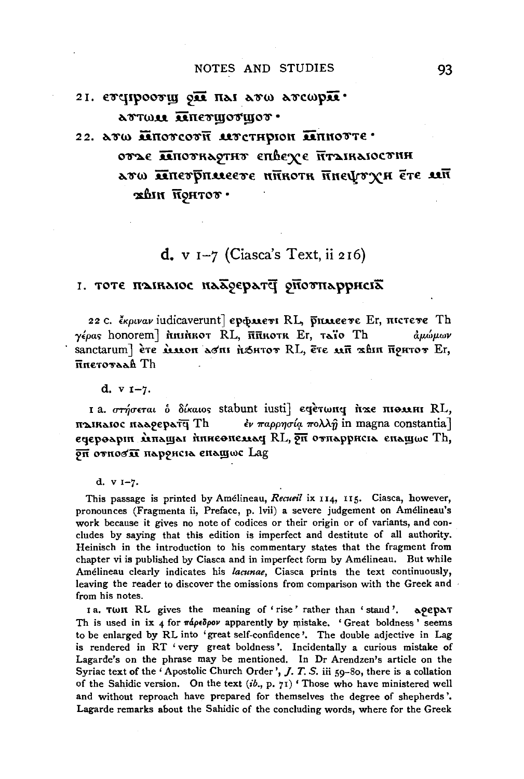## 21. evelpooru on nai avw avewpn. ATTWAI AIRETHOTHIOT.

# 22. ATW MHOTCOTH AUTOTHPION MHHOTTE. отъе пиоткартит епесуе птаикаюстин дво при предлага назвыпата за тем xbin NoHTOV ·

## $d$ , v  $I-7$  (Ciasca's Text, ii 216)

## 1. ТОТЕ ПАІКАЮС НААФЕРАТЧ ОПОУНАРРИСІА

22 C. ekotrar indicaverunt] eposters RL, proteere Er, nicreve Th  $\gamma \epsilon \rho a s$  honorem]  $\hbar$ minkot RL,  $\bar{\mathbf{n}}$ nkotk Er, taïo Th ձµώµων sanctarum] ève *iemon doni fishvov RL*, eve mu xhin nouvov Er, Finerovaah Th

 $d. v 1-7.$ 

I a. στήσεται ο δίκαιος stabunt iusti) εφετωπο ήτας πιολικι RL, паікаюс паарерат<del>у</del> Th  $\epsilon$ ν παρρησία πολλή in magna constantia] ечероарии мнащая иниеопелла RL, он отнарриста енащюс Th, оп относя наронсь енащюс Lag

This passage is printed by Amélineau, Recueil ix 114, 115. Ciasca, however, pronounces (Fragmenta ii, Preface, p. lvii) a severe judgement on Amélineau's work because it gives no note of codices or their origin or of variants, and concludes by saying that this edition is imperfect and destitute of all authority. Heinisch in the introduction to his commentary states that the fragment from chapter vi is published by Ciasca and in imperfect form by Amélineau. But while Amélineau clearly indicates his lacunae, Ciasca prints the text continuously, leaving the reader to discover the omissions from comparison with the Greek and from his notes.

ra. Twn RL gives the meaning of 'rise' rather than 'stand'. арерат Th is used in ix 4 for  $\pi \phi \phi \phi \phi \phi$  apparently by mistake. 'Great boldness' seems to be enlarged by RL into 'great self-confidence'. The double adjective in Lag is rendered in RT 'very great boldness'. Incidentally a curious mistake of Lagarde's on the phrase may be mentioned. In Dr Arendzen's article on the Syriac text of the 'Apostolic Church Order', J. T. S. iii 59-80, there is a collation of the Sahidic version. On the text  $(ib, p, 7i)$  'Those who have ministered well and without reproach have prepared for themselves the degree of shepherds'. Lagarde remarks about the Sahidic of the concluding words, where for the Greek

d.  $v = 7$ .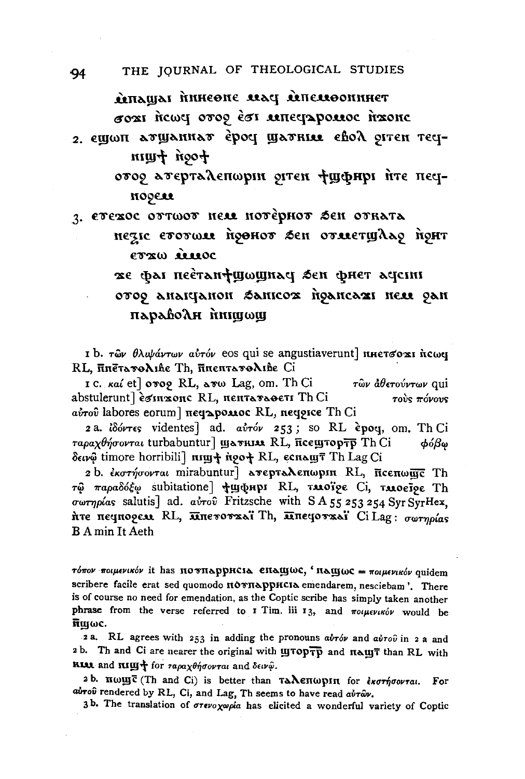RETTAILIOUS PAR SHOSHIN IAUATS σοχι ήτως στος έσι απεςρροασε ήχοης

2. ещωп атщаннат ероч щатние евол оттен течtoon tuun

> отор атерталепшри ритен фуфнрі ите пецnogeu

3. етехос оттоот нем нотернот бен отката нези етотом поенот бен отметщало понт

erza iuoc

же фат пеетап ушошная зен фнет аясти ovog anaiqanon Sanicox ngancaxi new gan

параволн нищощ

I b. των θλυψάντων αυτόν eos qui se angustiaverunt nHετσο x1 ής ως RL, πηετατολιβε Th, πηεητατολιβε Ci

1 c. καί et] στος RL, ατω Lag, om. Th Ci των άθετούντων qui abstulerunt] esinxone RL, nenTaraoeTI Th Ci τούς πόνους aύτου labores eorum] πεσαρολιος RL, πεσριςε Th Ci

2 a. idóvres videntes] ad. avróv 253; so RL èpoq, om. Th Ci ταραχθήσονται turbabuntur] *wavnu RL*, πεεwτορτρ Th Ci  $\phi$ ó $\beta$ ω δεινώ timore horribili] nim+ noo+ RL, ες παιητ Th Lag Ci

2 b. εκστήσονται mirabuntur] ανερταλεπωρικ RL, πεεπωμής Th τώ παραδόξω subitatione *του της ΒΙ, τιλοΐρε Ci, τιλοείρε Th* σωτηρίας salutis] ad. αύτου Fritzsche with S A 55 253 254 Syr SyrHex, ите пециорем RL, ипетоткаї Th, ипецоткаї Ci Lag: σωτηρίας **B** A min It Aeth

τόπον ποιμενικόν it has πο υπαρρησια επαιμως, 'παιμως = ποιμενικόν quidem scribere facile erat sed quomodo novnappucia emendarem, nesciebam'. There is of course no need for emendation, as the Coptic scribe has simply taken another phrase from the verse referred to I Tim. iii 13, and ποιμενικόν would be  $\overline{\mathbf{n}}$ moc.

2a. RL agrees with 253 in adding the pronouns  $a\dot{v}\tau\dot{\omega}$  and  $a\dot{v}\tau\dot{\omega}$  in 2 a and 2b. Th and Ci are nearer the original with LITOPTP and HALLT than RL with **RIAL** and  $\mathbf{R} \mathbf{U} \mathbf{U}$  for  $\tau a \rho a \chi \theta \eta \sigma o \nu \tau a \mu$  and  $\delta \epsilon \nu \hat{\varphi}$ .

2 b. nwyc (Th and Ci) is better than TAAEHWPIN for εκστήσονται. For airou rendered by RL, Ci, and Lag, Th seems to have read airav.

3b. The translation of στενοχωρία has elicited a wonderful variety of Coptic

94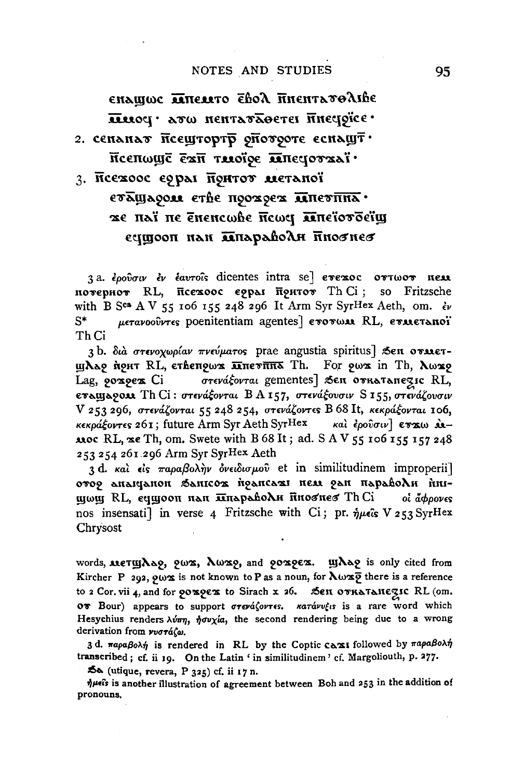### NOTES AND STUDIES

єплише линемто євод пиєнтатодівс лиоч · ато нентаталется инечрие • 2. сенанат псештортр опотроте еснашт Псепошё ехи тлоїре ливеротхаї 3. Псехоос еррал Понтот метаної

# етлудом стве поохоех литетина. же паї не ёненсфее псфер лінеїотоеїщ сущооп нан ляпараводи пновнев

3a. έρούσιν έν έαυτοΐς dicentes intra se] ετεχος οττωοτ πελλ потернот RL, псехоос еррал притот Th Ci; so Fritzsche with B SCB A V 55 106 155 248 296 It Arm Syr SyrHex Aeth, om.  $\partial v$ μετανοούντες poenitentiam agentes] ενονωμ RL, ενμεταποϊ S\* Th Ci

3b. διά στενοχωρίαν πνεύματος prae angustia spiritus] Sen οναιετщлар прит RL, ственрых пистик Th. For pwx in Th, люжр  $\sigma$ тєра́ $\xi$ ортаі gementes] Вен откатанезіс RL, Lag, 90x9ex Ci εναιμαρολι Th Ci: στενάξονται ΒΑ157, στενάξουσιν S155, στενάζουσιν V 253 296, στενάζονται 55 248 254, στενάζοντες B 68 It, κεκράξονται 106, κεκράξοντες 261; future Arm Syr Aeth SyrHex και έρουσιν εττω λι-**Also RL,**  $x \in T$ **h**, om. Swete with B 68 It; ad. S A V 55 106 155 157 248 253 254 261 296 Arm Syr SyrHex Aeth

3 d. και είς παραβολήν όνειδισμού et in similitudinem improperii] отор апацанон Запісож прансажі пем ран параволи пищωщ RL, ечщооп нан <del>плараводи</del> пноснес Th Ci οι άφρονες nos insensati] in verse 4 Fritzsche with Ci; pr.  $\eta \mu \epsilon$ is V 253 SyrHex Chrysost

words, MeTyAa9, Qwx, Awx9, and QOx9Ex. yAa9 is only cited from Kircher P 292,  $9\omega x$  is not known to P as a noun, for  $\lambda \omega x \overline{9}$  there is a reference to 2 Cor. vii 4, and for ροαρεα to Sirach x 26. Sen ονκαταπεζις RL (om. OT Bour) appears to support στενάζοντες. κατάνυξις is a rare word which Hesychius renders  $\lambda \nu \pi \eta$ ,  $\dot{\eta} \sigma \nu \chi/a$ , the second rendering being due to a wrong derivation from vvoráζω.

3 d. παραβολή is rendered in RL by the Coptic caxi followed by παραβολή transcribed; cf. ii 19. On the Latin ' in similitudinem ' cf. Margoliouth, p. 277.

 $\approx$  (utique, revera, P 325) cf. ii 17 n.

 $\eta$ μείs is another illustration of agreement between Boh and 253 in the addition of pronouns.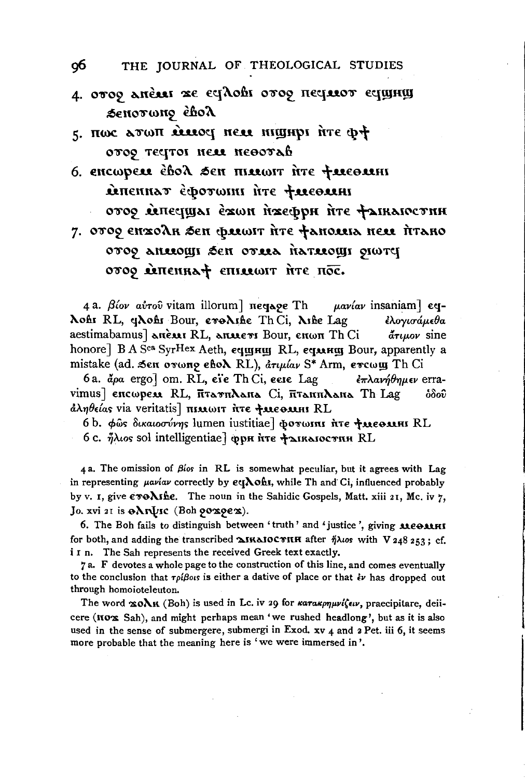- л. отоо лисля же судовь отоо пестают сущищ Senorwno ehol
- 5. HWC ATWH RELLOCI NELL MIGHT THE D+ oros regroi neu neoorab
- 6. encwper ebox sen mirtwir irre treeorin MIRENHAT ECOTOMI ITE TUEBUHI отор мпесицал ежон пжефри пте фаикаюстин 7. отор енхолн зен флешт ите фанолна нем итано

prono upostrań astro nas upostana coro οτος επεπειτές επιλευτ ήτε πος.

4 a.  $\beta$ ίον αύτου vitam illorum] πεσιλοε Th  $\mu$ avíav insaniam]  $\epsilon$ q-Nohr RL, gNohr Bour, croNific Th Ci, Nifie Lag ελογισάμεθα aestimabamus] anexi RL, anxiers Bour, enwn Th Ci άτιμον sine honore] B A Sca SyrHex Aeth, еqщищ RL, еqмищ Bour, apparently a mistake (ad. Sen ovwno eho RL), aryuav S\* Arm, evewy Th Ci

6a. apa ergo] om. RL, eie Th Ci, eese Lag επλανήθημεν erravimus] encwpess RL, FitaTnAana Ci, FitannAana Th Lag စ်စိတ် άληθείας via veritatis] πιλιωιτ ήτε +λιεολικι RL

6b. φως δικαιοσύνης lumen iustitiae] φοτωπι ήτε ταεθαπι RL 6 с. ήλιος sol intelligentiae] фри ите + акакостин RL

4 a. The omission of  $\beta$ los in RL is somewhat peculiar, but it agrees with Lag in representing *paviav* correctly by eq **Aohs**, while Th and Ci, influenced probably by v. I, give evo Ashe. The noun in the Sahidic Gospels, Matt. xiii 21, Mc. iv 7, Jo. xvi 21 is eXruIsc (Boh 90x9ex).

6. The Boh fails to distinguish between 'truth' and 'justice', giving менми for both, and adding the transcribed  $\Delta$ IRAIOCTHH after  $\eta\lambda$ tos with V 248 253; cf. i I n. The Sah represents the received Greek text exactly.

7a. F devotes a whole page to the construction of this line, and comes eventually to the conclusion that  $\tau \rho \beta \omega s$  is either a dative of place or that  $\dot{\epsilon} \nu$  has dropped out through homoioteleuton.

The word xoAK (Boh) is used in Lc. iv 29 for karakpnuviseu, praecipitare, deiicere (nox Sah), and might perhaps mean 'we rushed headlong', but as it is also used in the sense of submergere, submergi in Exod.  $xy$  4 and 2 Pet. iii 6, it seems more probable that the meaning here is 'we were immersed in'.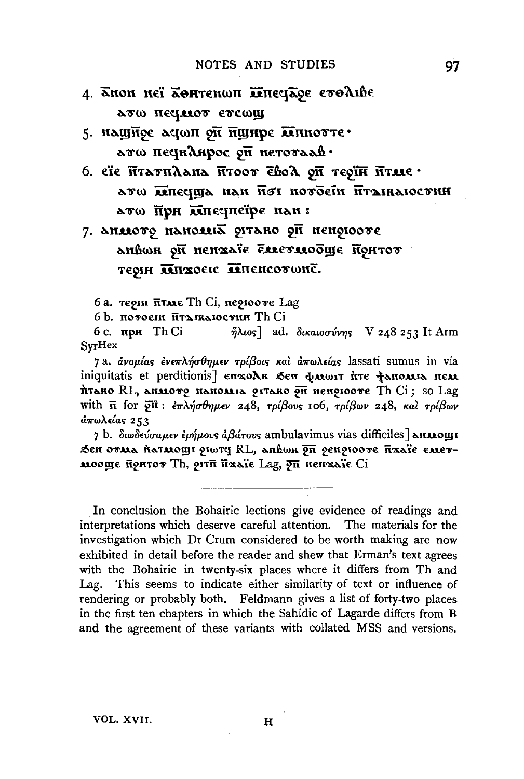- 4. Хнон неї Хонтенюп ілпесіхое етоліве лто песилот етсощ
- 5. нашное астоп он нунре лепнотте. ато песиклирос он нетотаав.
- 6. еїє итатилана итоот євол он теоїн итме ато плесуща нан пот нотбейн птолкаюстни ато при плестейре нан:
- 7. анялото наполна оттако он непотооте анвон он нентаїе елетлюбще понтот TEQIH MITZOEIC MITENCOTWNC.

6 а. терин птые Th Ci, нерюоте Lag

6 b. потоени птанкаюстни Th Ci

ήλιος ad. δικαιοσύνης V 248 253 It Arm 6 с. при Th Ci SyrHex

7a. ανομίας ενεπλήσθημεν τρίβοις και απωλείας lassati sumus in via iniquitatis et perditionis] enxoAR Sen Quoir fire fanoura neu итако RL, апмото напоміа оттако он непотооте Th Ci; so Lag with  $\bar{n}$  for  $\bar{p}\bar{n}$ :  $\epsilon\pi\lambda\eta\sigma\theta\eta\mu\epsilon\nu$  248,  $\tau\rho\beta\omega\sigma$  106,  $\tau\rho\beta\omega\nu$  248, και  $\tau\rho\beta\omega\nu$ άπωλείας 253

7 b. διωδεύσαμεν έρήμους άβάτους ambulavimus vias difficiles] **απλιομ**ι Sen отна патмоші рішту RL, анвши ри ренріооте йхаїє еметмооще понтот Th, отти паліе Lag, оп неналіе Ci

In conclusion the Bohairic lections give evidence of readings and interpretations which deserve careful attention. The materials for the investigation which Dr Crum considered to be worth making are now exhibited in detail before the reader and shew that Erman's text agrees with the Bohairic in twenty-six places where it differs from Th and Lag. This seems to indicate either similarity of text or influence of rendering or probably both. Feldmann gives a list of forty-two places in the first ten chapters in which the Sahidic of Lagarde differs from B and the agreement of these variants with collated MSS and versions.

 $\bf H$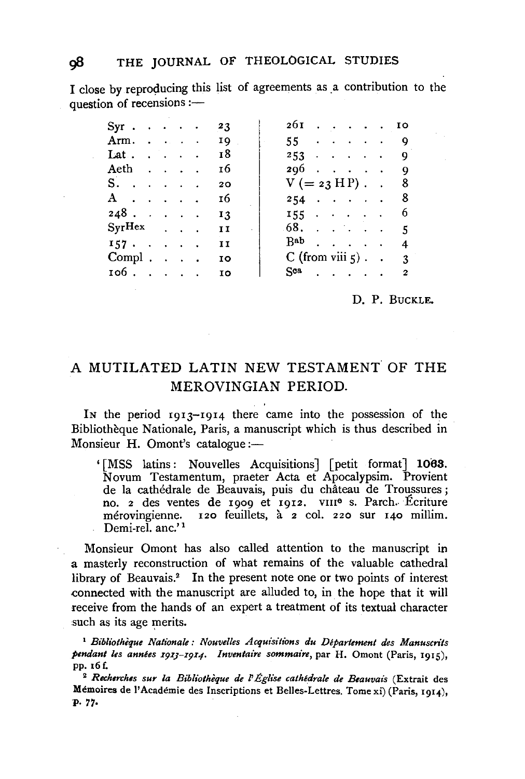I close by reproducing this list of agreements as a contribution to the question of recensions :-

| $Syr \cdot \cdot \cdot \cdot$                          |  |  | 23             | $26I$ IO                              |  |  |                          |
|--------------------------------------------------------|--|--|----------------|---------------------------------------|--|--|--------------------------|
| $\text{Arm.} \quad . \quad . \quad . \quad . \quad 19$ |  |  |                | $55 \cdot \cdot \cdot \cdot \cdot 9$  |  |  |                          |
| Lat.                                                   |  |  | 18             | $253$ 9                               |  |  |                          |
| Aeth                                                   |  |  | 16             | 2969                                  |  |  |                          |
| S.                                                     |  |  | 20             | $V (= 23 \text{ H P})$ . 8            |  |  |                          |
| $\mathbf{A}$                                           |  |  | 16             | $254$ 8                               |  |  |                          |
| $248$                                                  |  |  | 13             | $155 \cdot \cdot \cdot \cdot \cdot 6$ |  |  |                          |
| $Syr$ Hex                                              |  |  | $\blacksquare$ | $68.$                                 |  |  | $-5$                     |
|                                                        |  |  | II             | $B^{ab}$                              |  |  | 4                        |
| $Compl. \ldots$ .                                      |  |  | IO             | C (from viii $\zeta$ ). .             |  |  | 3                        |
| 106.                                                   |  |  | IO             | $Sca$                                 |  |  | $\overline{\phantom{a}}$ |

### D. P. BUCKLE.

# A MUTILATED LATIN NEW TESTAMENT OF THE MEROVINGIAN PERIOD.

IN the period 19I3-I9I4 there came into the possession of the Bibliothèque Nationale, Paris, a manuscript which is thus described in Monsieur H. Omont's catalogue :-

' [MSS latins: Nouvelles Acquisitions] [petit format] 1063. Novum Testamentum, praeter Acta et Apocalypsim. Provient de la cathédrale de Beauvais, puis du château de Troussures ; no. 2 des ventes de 1909 et 1912. vIII<sup>o</sup> s. Parch. Écriture<br>mérovingienne. 120 feuillets, à 2 col. 220 sur 140 millim.  $120$  feuillets,  $a \neq 2$  col. 220 sur  $140$  millim. Demi-rel. anc.'<sup>1</sup>

Monsieur Omont has also called attention to the manuscript in a masterly reconstruction of what remains of the valuable cathedral library of Beauvais.<sup>2</sup> In the present note one or two points of interest .connected with the manuscript are alluded to, in the hope that it will receive from the hands of an expert a treatment of its textual character such as its age merits.

<sup>1</sup>*Bibliotheque Nationale: Nouvelles Acquisitions du Departement des Manuscrits*  pendant les années 1913-1914. Inventaire sommaire, par H. Omont (Paris, 1915), pp. 16 f.

<sup>2</sup>*Recherch1s sur la Bibliotheque de* I' *Eglise cathedrale de Beauvais* (Extrait des Memoires de l' Academie des Inscriptions et Belles-Lettres. Tome xi) (Paris, 1914), p. 77.